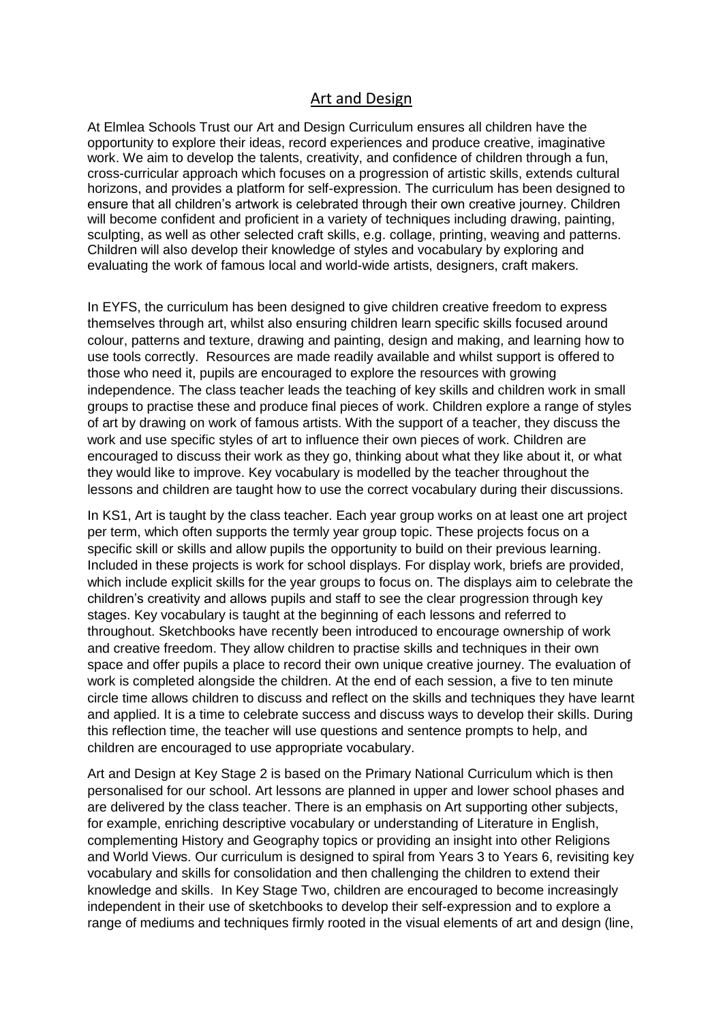## Art and Design

At Elmlea Schools Trust our Art and Design Curriculum ensures all children have the opportunity to explore their ideas, record experiences and produce creative, imaginative work. We aim to develop the talents, creativity, and confidence of children through a fun, cross-curricular approach which focuses on a progression of artistic skills, extends cultural horizons, and provides a platform for self-expression. The curriculum has been designed to ensure that all children's artwork is celebrated through their own creative journey. Children will become confident and proficient in a variety of techniques including drawing, painting, sculpting, as well as other selected craft skills, e.g. collage, printing, weaving and patterns. Children will also develop their knowledge of styles and vocabulary by exploring and evaluating the work of famous local and world-wide artists, designers, craft makers.

In EYFS, the curriculum has been designed to give children creative freedom to express themselves through art, whilst also ensuring children learn specific skills focused around colour, patterns and texture, drawing and painting, design and making, and learning how to use tools correctly. Resources are made readily available and whilst support is offered to those who need it, pupils are encouraged to explore the resources with growing independence. The class teacher leads the teaching of key skills and children work in small groups to practise these and produce final pieces of work. Children explore a range of styles of art by drawing on work of famous artists. With the support of a teacher, they discuss the work and use specific styles of art to influence their own pieces of work. Children are encouraged to discuss their work as they go, thinking about what they like about it, or what they would like to improve. Key vocabulary is modelled by the teacher throughout the lessons and children are taught how to use the correct vocabulary during their discussions.

In KS1, Art is taught by the class teacher. Each year group works on at least one art project per term, which often supports the termly year group topic. These projects focus on a specific skill or skills and allow pupils the opportunity to build on their previous learning. Included in these projects is work for school displays. For display work, briefs are provided, which include explicit skills for the year groups to focus on. The displays aim to celebrate the children's creativity and allows pupils and staff to see the clear progression through key stages. Key vocabulary is taught at the beginning of each lessons and referred to throughout. Sketchbooks have recently been introduced to encourage ownership of work and creative freedom. They allow children to practise skills and techniques in their own space and offer pupils a place to record their own unique creative journey. The evaluation of work is completed alongside the children. At the end of each session, a five to ten minute circle time allows children to discuss and reflect on the skills and techniques they have learnt and applied. It is a time to celebrate success and discuss ways to develop their skills. During this reflection time, the teacher will use questions and sentence prompts to help, and children are encouraged to use appropriate vocabulary.

Art and Design at Key Stage 2 is based on the Primary National Curriculum which is then personalised for our school. Art lessons are planned in upper and lower school phases and are delivered by the class teacher. There is an emphasis on Art supporting other subjects, for example, enriching descriptive vocabulary or understanding of Literature in English, complementing History and Geography topics or providing an insight into other Religions and World Views. Our curriculum is designed to spiral from Years 3 to Years 6, revisiting key vocabulary and skills for consolidation and then challenging the children to extend their knowledge and skills. In Key Stage Two, children are encouraged to become increasingly independent in their use of sketchbooks to develop their self-expression and to explore a range of mediums and techniques firmly rooted in the visual elements of art and design (line,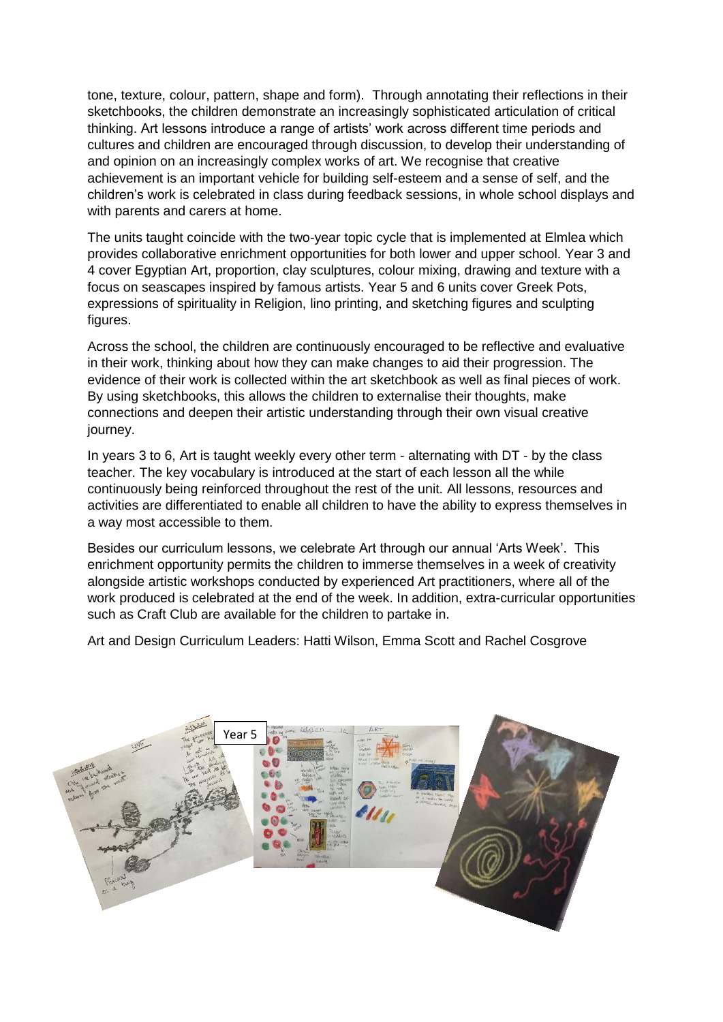tone, texture, colour, pattern, shape and form). Through annotating their reflections in their sketchbooks, the children demonstrate an increasingly sophisticated articulation of critical thinking. Art lessons introduce a range of artists' work across different time periods and cultures and children are encouraged through discussion, to develop their understanding of and opinion on an increasingly complex works of art. We recognise that creative achievement is an important vehicle for building self-esteem and a sense of self, and the children's work is celebrated in class during feedback sessions, in whole school displays and with parents and carers at home.

The units taught coincide with the two-year topic cycle that is implemented at Elmlea which provides collaborative enrichment opportunities for both lower and upper school. Year 3 and 4 cover Egyptian Art, proportion, clay sculptures, colour mixing, drawing and texture with a focus on seascapes inspired by famous artists. Year 5 and 6 units cover Greek Pots, expressions of spirituality in Religion, lino printing, and sketching figures and sculpting figures.

Across the school, the children are continuously encouraged to be reflective and evaluative in their work, thinking about how they can make changes to aid their progression. The evidence of their work is collected within the art sketchbook as well as final pieces of work. By using sketchbooks, this allows the children to externalise their thoughts, make connections and deepen their artistic understanding through their own visual creative journey.

In years 3 to 6, Art is taught weekly every other term - alternating with DT - by the class teacher. The key vocabulary is introduced at the start of each lesson all the while continuously being reinforced throughout the rest of the unit. All lessons, resources and activities are differentiated to enable all children to have the ability to express themselves in a way most accessible to them.

Besides our curriculum lessons, we celebrate Art through our annual 'Arts Week'. This enrichment opportunity permits the children to immerse themselves in a week of creativity alongside artistic workshops conducted by experienced Art practitioners, where all of the work produced is celebrated at the end of the week. In addition, extra-curricular opportunities such as Craft Club are available for the children to partake in.

Art and Design Curriculum Leaders: Hatti Wilson, Emma Scott and Rachel Cosgrove